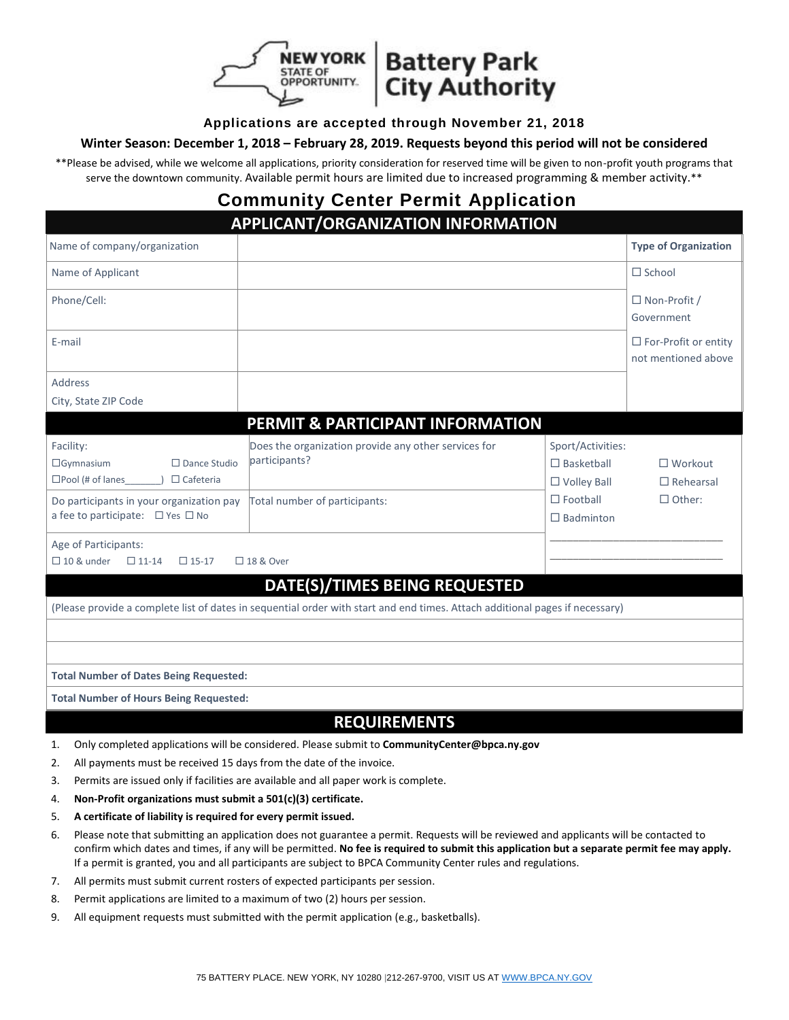



#### **Applications are accepted through November 21, 2018**

#### **Winter Season: December 1, 2018 – February 28, 2019. Requests beyond this period will not be considered**

\*\*Please be advised, while we welcome all applications, priority consideration for reserved time will be given to non-profit youth programs that serve the downtown community. Available permit hours are limited due to increased programming & member activity.\*\*

## **Community Center Permit Application**

| APPLICANT/ORGANIZATION INFORMATION                                                                                           |                                                                       |                                                              |                                                    |  |  |
|------------------------------------------------------------------------------------------------------------------------------|-----------------------------------------------------------------------|--------------------------------------------------------------|----------------------------------------------------|--|--|
| Name of company/organization                                                                                                 |                                                                       |                                                              | <b>Type of Organization</b>                        |  |  |
| Name of Applicant                                                                                                            |                                                                       |                                                              | $\Box$ School                                      |  |  |
| Phone/Cell:                                                                                                                  |                                                                       |                                                              | $\Box$ Non-Profit /<br>Government                  |  |  |
| E-mail                                                                                                                       |                                                                       |                                                              | $\Box$ For-Profit or entity<br>not mentioned above |  |  |
| <b>Address</b>                                                                                                               |                                                                       |                                                              |                                                    |  |  |
| City, State ZIP Code                                                                                                         |                                                                       |                                                              |                                                    |  |  |
|                                                                                                                              | PERMIT & PARTICIPANT INFORMATION                                      |                                                              |                                                    |  |  |
| Facility:<br>$\Box$ Gymnasium<br>$\square$ Dance Studio<br>$\square$ Pool (# of lanes<br>$\Box$ Cafeteria                    | Does the organization provide any other services for<br>participants? | Sport/Activities:<br>$\Box$ Basketball<br>$\Box$ Volley Ball | $\Box$ Workout<br>$\Box$ Rehearsal                 |  |  |
| Do participants in your organization pay<br>a fee to participate: □ Yes □ No                                                 | Total number of participants:                                         | $\Box$ Football<br>$\Box$ Badminton                          | $\Box$ Other:                                      |  |  |
| Age of Participants:<br>$\Box$ 10 & under<br>$\Box$ 11-14<br>$\Box$ 15-17                                                    | □ 18 & Over                                                           |                                                              |                                                    |  |  |
| DATE(S)/TIMES BEING REQUESTED                                                                                                |                                                                       |                                                              |                                                    |  |  |
| (Please provide a complete list of dates in sequential order with start and end times. Attach additional pages if necessary) |                                                                       |                                                              |                                                    |  |  |
|                                                                                                                              |                                                                       |                                                              |                                                    |  |  |
|                                                                                                                              |                                                                       |                                                              |                                                    |  |  |
| <b>Total Number of Dates Being Requested:</b>                                                                                |                                                                       |                                                              |                                                    |  |  |
| <b>Total Number of Hours Being Requested:</b>                                                                                |                                                                       |                                                              |                                                    |  |  |
| <b>REQUIREMENTS</b>                                                                                                          |                                                                       |                                                              |                                                    |  |  |

- 1. Only completed applications will be considered. Please submit to **CommunityCenter@bpca.ny.gov**
- 2. All payments must be received 15 days from the date of the invoice.
- 3. Permits are issued only if facilities are available and all paper work is complete.
- 4. **Non-Profit organizations must submit a 501(c)(3) certificate.**
- 5. **A certificate of liability is required for every permit issued.**
- 6. Please note that submitting an application does not guarantee a permit. Requests will be reviewed and applicants will be contacted to confirm which dates and times, if any will be permitted. **No fee is required to submit this application but a separate permit fee may apply.** If a permit is granted, you and all participants are subject to BPCA Community Center rules and regulations.
- 7. All permits must submit current rosters of expected participants per session.
- 8. Permit applications are limited to a maximum of two (2) hours per session.
- 9. All equipment requests must submitted with the permit application (e.g., basketballs).